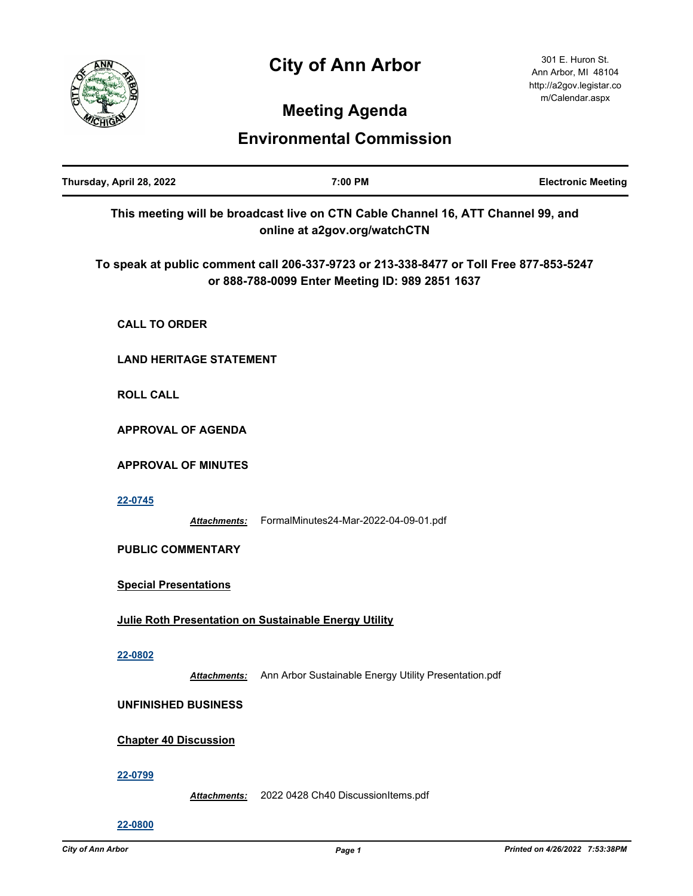## **City of Ann Arbor**



301 E. Huron St. Ann Arbor, MI 48104 http://a2gov.legistar.co m/Calendar.aspx

## **Meeting Agenda**

## **Environmental Commission**

| Thursday, April 28, 2022       | 7:00 PM                                                                                                                                   | <b>Electronic Meeting</b> |
|--------------------------------|-------------------------------------------------------------------------------------------------------------------------------------------|---------------------------|
|                                | This meeting will be broadcast live on CTN Cable Channel 16, ATT Channel 99, and<br>online at a2gov.org/watchCTN                          |                           |
|                                | To speak at public comment call 206-337-9723 or 213-338-8477 or Toll Free 877-853-5247<br>or 888-788-0099 Enter Meeting ID: 989 2851 1637 |                           |
| <b>CALL TO ORDER</b>           |                                                                                                                                           |                           |
| <b>LAND HERITAGE STATEMENT</b> |                                                                                                                                           |                           |
| <b>ROLL CALL</b>               |                                                                                                                                           |                           |
| <b>APPROVAL OF AGENDA</b>      |                                                                                                                                           |                           |
| <b>APPROVAL OF MINUTES</b>     |                                                                                                                                           |                           |
| 22-0745<br><b>Attachments:</b> | FormalMinutes24-Mar-2022-04-09-01.pdf                                                                                                     |                           |
| <b>PUBLIC COMMENTARY</b>       |                                                                                                                                           |                           |
| <b>Special Presentations</b>   |                                                                                                                                           |                           |
|                                | Julie Roth Presentation on Sustainable Energy Utility                                                                                     |                           |
| 22-0802<br>Attachments:        | Ann Arbor Sustainable Energy Utility Presentation.pdf                                                                                     |                           |
| <b>UNFINISHED BUSINESS</b>     |                                                                                                                                           |                           |
| <b>Chapter 40 Discussion</b>   |                                                                                                                                           |                           |
| 22-0799<br><b>Attachments:</b> | 2022 0428 Ch40 DiscussionItems.pdf                                                                                                        |                           |
| 22-0800                        |                                                                                                                                           |                           |